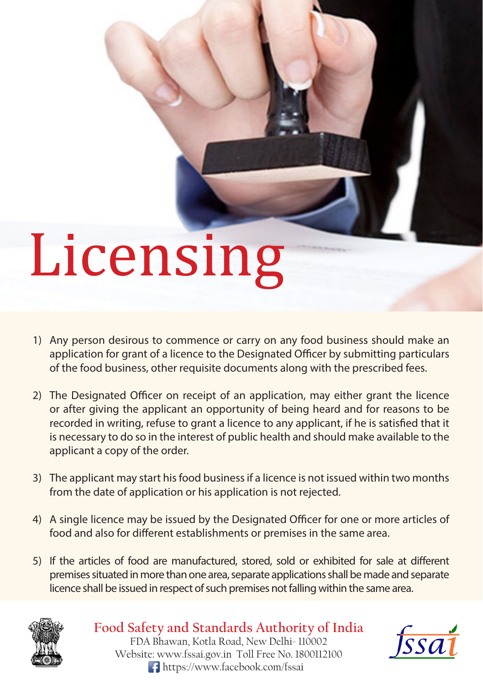# Licensing

- 1) Any person desirous to commence or carry on any food business should make an application for grant of a licence to the Designated Officer by submitting particulars of the food business, other requisite documents along with the prescribed fees.
- 2) The Designated Officer on receipt of an application, may either grant the licence or after giving the applicant an opportunity of being heard and for reasons to be recorded in writing, refuse to grant a licence to any applicant, if he is satisfied that it is necessary to do so in the interest of public health and should make available to the applicant a copy of the order.
- The applicant may start his food business if a licence is not issued within two months 3) from the date of application or his application is not rejected.
- 4) A single licence may be issued by the Designated Officer for one or more articles of food and also for different establishments or premises in the same area.
- 5) If the articles of food are manufactured, stored, sold or exhibited for sale at different premises situated in more than one area, separate applications shall be made and separate licence shall be issued in respect of such premises not falling within the same area.



**Food Safety and Standards Authority of India** FDA Bhawan, Kotla Road, New Delhi- 110002 Website: www.fssai.gov.in Toll Free No. 1800112100 https://www.facebook.com/fssai

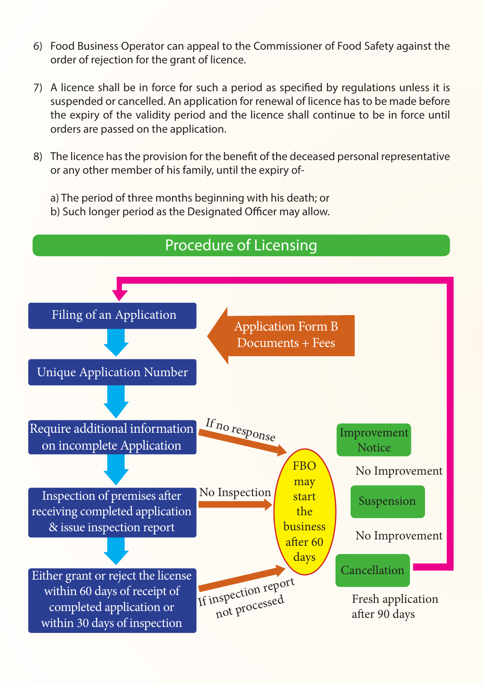- Food Business Operator can appeal to the Commissioner of Food Safety against the 6) order of rejection for the grant of licence.
- 7) A licence shall be in force for such a period as specified by regulations unless it is suspended or cancelled. An application for renewal of licence has to be made before the expiry of the validity period and the licence shall continue to be in force until orders are passed on the application.
- The licence has the provision for the benefit of the deceased personal representative 8) or any other member of his family, until the expiry of
	- a) The period of three months beginning with his death; or
	- b) Such longer period as the Designated Officer may allow.

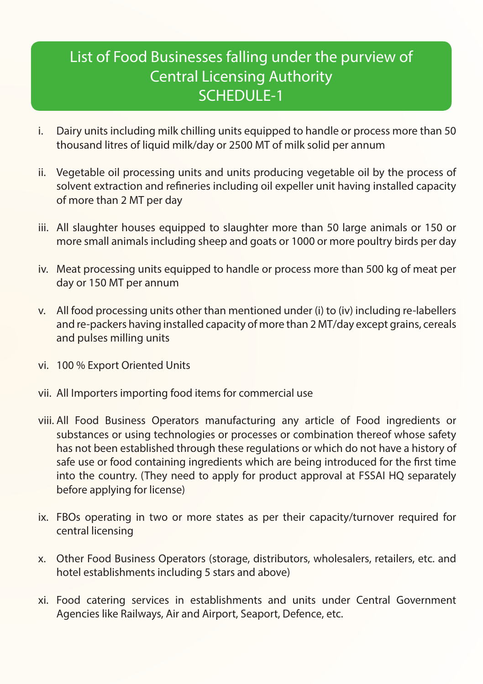## List of Food Businesses falling under the purview of Central Licensing Authority SCHEDULE-1

- Dairy units including milk chilling units equipped to handle or process more than 50 thousand litres of liquid milk/day or 2500 MT of milk solid per annum i.
- ii. Vegetable oil processing units and units producing vegetable oil by the process of solvent extraction and refineries including oil expeller unit having installed capacity of more than 2 MT per day
- iii. All slaughter houses equipped to slaughter more than 50 large animals or 150 or more small animals including sheep and goats or 1000 or more poultry birds per day
- Meat processing units equipped to handle or process more than 500 kg of meat per iv. day or 150 MT per annum
- v. All food processing units other than mentioned under (i) to (iv) including re-labellers and re-packers having installed capacity of more than 2 MT/day except grains, cereals and pulses milling units
- vi. 100 % Export Oriented Units
- vii. All Importers importing food items for commercial use
- viii. All Food Business Operators manufacturing any article of Food ingredients or substances or using technologies or processes or combination thereof whose safety has not been established through these regulations or which do not have a history of safe use or food containing ingredients which are being introduced for the first time into the country. (They need to apply for product approval at FSSAI HQ separately before applying for license)
- ix. FBOs operating in two or more states as per their capacity/turnover required for central licensing
- Other Food Business Operators (storage, distributors, wholesalers, retailers, etc. and x. hotel establishments including 5 stars and above)
- Food catering services in establishments and units under Central Government xi. Agencies like Railways, Air and Airport, Seaport, Defence, etc.